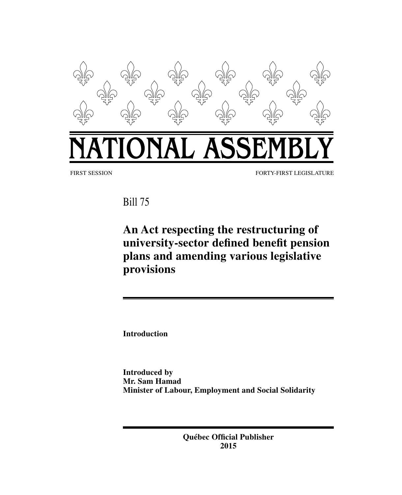

Bill 75

**An Act respecting the restructuring of university-sector defined benefit pension plans and amending various legislative provisions**

**Introduction**

**Introduced by Mr. Sam Hamad Minister of Labour, Employment and Social Solidarity**

> **Québec Official Publisher 2015**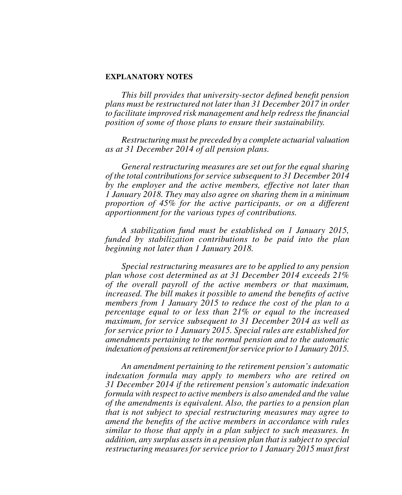#### **EXPLANATORY NOTES**

*This bill provides that university-sector defined benefit pension plans must be restructured not later than 31 December 2017 in order to facilitate improved risk management and help redress the financial position of some of those plans to ensure their sustainability.*

*Restructuring must be preceded by a complete actuarial valuation as at 31 December 2014 of all pension plans.*

*General restructuring measures are set out for the equal sharing of the total contributions for service subsequent to 31 December 2014 by the employer and the active members, effective not later than 1 January 2018. They may also agree on sharing them in a minimum proportion of 45% for the active participants, or on a different apportionment for the various types of contributions.*

*A stabilization fund must be established on 1 January 2015, funded by stabilization contributions to be paid into the plan beginning not later than 1 January 2018.*

*Special restructuring measures are to be applied to any pension plan whose cost determined as at 31 December 2014 exceeds 21% of the overall payroll of the active members or that maximum, increased. The bill makes it possible to amend the benefits of active members from 1 January 2015 to reduce the cost of the plan to a percentage equal to or less than 21% or equal to the increased maximum, for service subsequent to 31 December 2014 as well as for service prior to 1 January 2015. Special rules are established for amendments pertaining to the normal pension and to the automatic indexation of pensions at retirement for service prior to 1 January 2015.*

*An amendment pertaining to the retirement pension's automatic indexation formula may apply to members who are retired on 31 December 2014 if the retirement pension's automatic indexation formula with respect to active members is also amended and the value of the amendments is equivalent. Also, the parties to a pension plan that is not subject to special restructuring measures may agree to amend the benefits of the active members in accordance with rules similar to those that apply in a plan subject to such measures. In addition, any surplus assets in a pension plan that is subject to special restructuring measures for service prior to 1 January 2015 must first*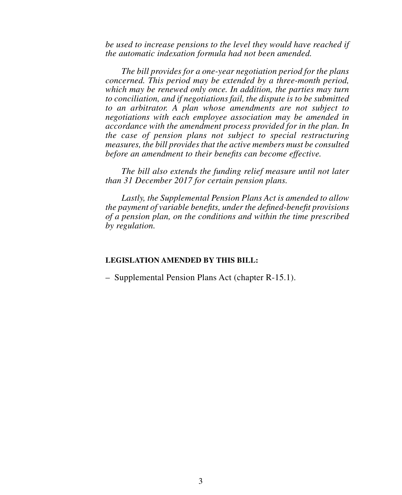*be used to increase pensions to the level they would have reached if the automatic indexation formula had not been amended.*

*The bill provides for a one-year negotiation period for the plans concerned. This period may be extended by a three-month period, which may be renewed only once. In addition, the parties may turn to conciliation, and if negotiations fail, the dispute is to be submitted to an arbitrator. A plan whose amendments are not subject to negotiations with each employee association may be amended in accordance with the amendment process provided for in the plan. In the case of pension plans not subject to special restructuring measures, the bill provides that the active members must be consulted before an amendment to their benefits can become effective.*

*The bill also extends the funding relief measure until not later than 31 December 2017 for certain pension plans.*

*Lastly, the Supplemental Pension Plans Act is amended to allow the payment of variable benefits, under the defined-benefit provisions of a pension plan, on the conditions and within the time prescribed by regulation.*

# **LEGISLATION AMENDED BY THIS BILL:**

– Supplemental Pension Plans Act (chapter R-15.1).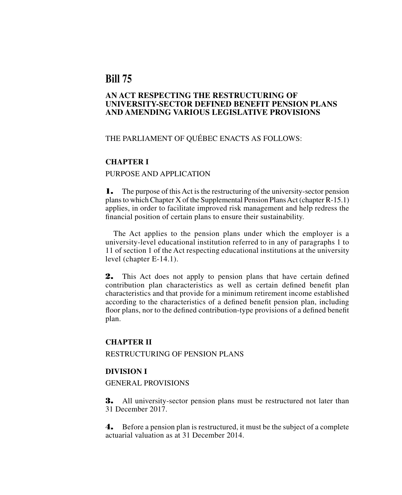# **Bill 75**

# **AN ACT RESPECTING THE RESTRUCTURING OF UNIVERSITY-SECTOR DEFINED BENEFIT PENSION PLANS AND AMENDING VARIOUS LEGISLATIVE PROVISIONS**

# THE PARLIAMENT OF QUÉBEC ENACTS AS FOLLOWS:

### **CHAPTER I**

# PURPOSE AND APPLICATION

1. The purpose of this Act is the restructuring of the university-sector pension plans to which Chapter X of the Supplemental Pension Plans Act (chapter R-15.1) applies, in order to facilitate improved risk management and help redress the financial position of certain plans to ensure their sustainability.

The Act applies to the pension plans under which the employer is a university-level educational institution referred to in any of paragraphs 1 to 11 of section 1 of the Act respecting educational institutions at the university level (chapter E-14.1).

2. This Act does not apply to pension plans that have certain defined contribution plan characteristics as well as certain defined benefit plan characteristics and that provide for a minimum retirement income established according to the characteristics of a defined benefit pension plan, including floor plans, nor to the defined contribution-type provisions of a defined benefit plan.

#### **CHAPTER II**

RESTRUCTURING OF PENSION PLANS

# **DIVISION I**

### GENERAL PROVISIONS

**3.** All university-sector pension plans must be restructured not later than 31 December 2017.

4. Before a pension plan is restructured, it must be the subject of a complete actuarial valuation as at 31 December 2014.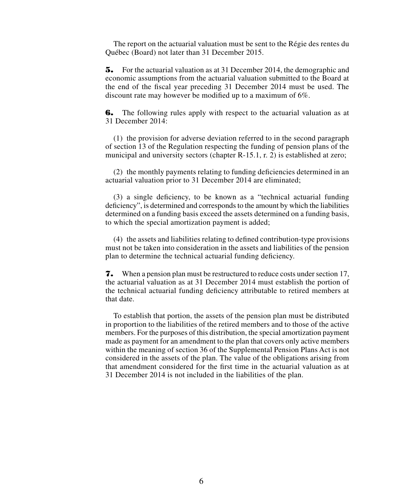The report on the actuarial valuation must be sent to the Régie des rentes du Québec (Board) not later than 31 December 2015.

5. For the actuarial valuation as at 31 December 2014, the demographic and economic assumptions from the actuarial valuation submitted to the Board at the end of the fiscal year preceding 31 December 2014 must be used. The discount rate may however be modified up to a maximum of 6%.

**6.** The following rules apply with respect to the actuarial valuation as at 31 December 2014:

(1) the provision for adverse deviation referred to in the second paragraph of section 13 of the Regulation respecting the funding of pension plans of the municipal and university sectors (chapter R-15.1, r. 2) is established at zero;

(2) the monthly payments relating to funding deficiencies determined in an actuarial valuation prior to 31 December 2014 are eliminated;

(3) a single deficiency, to be known as a "technical actuarial funding deficiency", is determined and corresponds to the amount by which the liabilities determined on a funding basis exceed the assets determined on a funding basis, to which the special amortization payment is added;

(4) the assets and liabilities relating to defined contribution-type provisions must not be taken into consideration in the assets and liabilities of the pension plan to determine the technical actuarial funding deficiency.

7. When a pension plan must be restructured to reduce costs under section 17, the actuarial valuation as at 31 December 2014 must establish the portion of the technical actuarial funding deficiency attributable to retired members at that date.

To establish that portion, the assets of the pension plan must be distributed in proportion to the liabilities of the retired members and to those of the active members. For the purposes of this distribution, the special amortization payment made as payment for an amendment to the plan that covers only active members within the meaning of section 36 of the Supplemental Pension Plans Act is not considered in the assets of the plan. The value of the obligations arising from that amendment considered for the first time in the actuarial valuation as at 31 December 2014 is not included in the liabilities of the plan.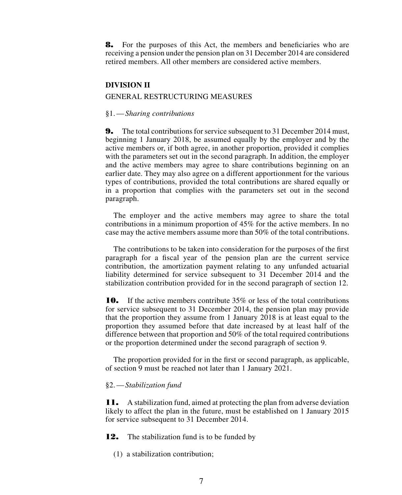8. For the purposes of this Act, the members and beneficiaries who are receiving a pension under the pension plan on 31 December 2014 are considered retired members. All other members are considered active members.

# **DIVISION II**

### GENERAL RESTRUCTURING MEASURES

#### §1.—*Sharing contributions*

**9.** The total contributions for service subsequent to 31 December 2014 must, beginning 1 January 2018, be assumed equally by the employer and by the active members or, if both agree, in another proportion, provided it complies with the parameters set out in the second paragraph. In addition, the employer and the active members may agree to share contributions beginning on an earlier date. They may also agree on a different apportionment for the various types of contributions, provided the total contributions are shared equally or in a proportion that complies with the parameters set out in the second paragraph.

The employer and the active members may agree to share the total contributions in a minimum proportion of 45% for the active members. In no case may the active members assume more than 50% of the total contributions.

The contributions to be taken into consideration for the purposes of the first paragraph for a fiscal year of the pension plan are the current service contribution, the amortization payment relating to any unfunded actuarial liability determined for service subsequent to 31 December 2014 and the stabilization contribution provided for in the second paragraph of section 12.

**10.** If the active members contribute 35% or less of the total contributions for service subsequent to 31 December 2014, the pension plan may provide that the proportion they assume from 1 January 2018 is at least equal to the proportion they assumed before that date increased by at least half of the difference between that proportion and 50% of the total required contributions or the proportion determined under the second paragraph of section 9.

The proportion provided for in the first or second paragraph, as applicable, of section 9 must be reached not later than 1 January 2021.

#### §2.—*Stabilization fund*

11. A stabilization fund, aimed at protecting the plan from adverse deviation likely to affect the plan in the future, must be established on 1 January 2015 for service subsequent to 31 December 2014.

**12.** The stabilization fund is to be funded by

(1) a stabilization contribution;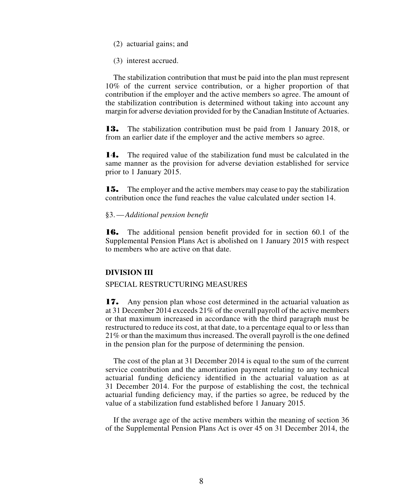- (2) actuarial gains; and
- (3) interest accrued.

The stabilization contribution that must be paid into the plan must represent 10% of the current service contribution, or a higher proportion of that contribution if the employer and the active members so agree. The amount of the stabilization contribution is determined without taking into account any margin for adverse deviation provided for by the Canadian Institute of Actuaries.

13. The stabilization contribution must be paid from 1 January 2018, or from an earlier date if the employer and the active members so agree.

14. The required value of the stabilization fund must be calculated in the same manner as the provision for adverse deviation established for service prior to 1 January 2015.

15. The employer and the active members may cease to pay the stabilization contribution once the fund reaches the value calculated under section 14.

#### §3.—*Additional pension benefit*

16. The additional pension benefit provided for in section 60.1 of the Supplemental Pension Plans Act is abolished on 1 January 2015 with respect to members who are active on that date.

# **DIVISION III**

#### SPECIAL RESTRUCTURING MEASURES

17. Any pension plan whose cost determined in the actuarial valuation as at 31 December 2014 exceeds 21% of the overall payroll of the active members or that maximum increased in accordance with the third paragraph must be restructured to reduce its cost, at that date, to a percentage equal to or less than 21% or than the maximum thus increased. The overall payroll is the one defined in the pension plan for the purpose of determining the pension.

The cost of the plan at 31 December 2014 is equal to the sum of the current service contribution and the amortization payment relating to any technical actuarial funding deficiency identified in the actuarial valuation as at 31 December 2014. For the purpose of establishing the cost, the technical actuarial funding deficiency may, if the parties so agree, be reduced by the value of a stabilization fund established before 1 January 2015.

If the average age of the active members within the meaning of section 36 of the Supplemental Pension Plans Act is over 45 on 31 December 2014, the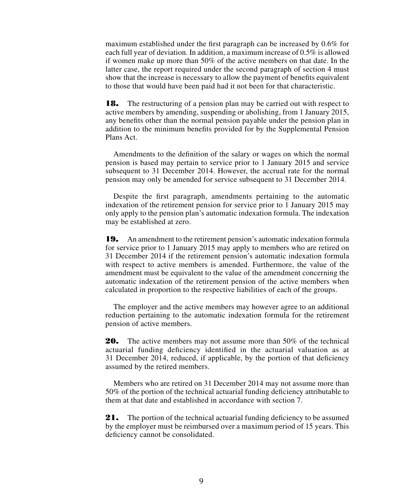maximum established under the first paragraph can be increased by 0.6% for each full year of deviation. In addition, a maximum increase of 0.5% is allowed if women make up more than 50% of the active members on that date. In the latter case, the report required under the second paragraph of section 4 must show that the increase is necessary to allow the payment of benefits equivalent to those that would have been paid had it not been for that characteristic.

**18.** The restructuring of a pension plan may be carried out with respect to active members by amending, suspending or abolishing, from 1 January 2015, any benefits other than the normal pension payable under the pension plan in addition to the minimum benefits provided for by the Supplemental Pension Plans Act.

Amendments to the definition of the salary or wages on which the normal pension is based may pertain to service prior to 1 January 2015 and service subsequent to 31 December 2014. However, the accrual rate for the normal pension may only be amended for service subsequent to 31 December 2014.

Despite the first paragraph, amendments pertaining to the automatic indexation of the retirement pension for service prior to 1 January 2015 may only apply to the pension plan's automatic indexation formula. The indexation may be established at zero.

19. An amendment to the retirement pension's automatic indexation formula for service prior to 1 January 2015 may apply to members who are retired on 31 December 2014 if the retirement pension's automatic indexation formula with respect to active members is amended. Furthermore, the value of the amendment must be equivalent to the value of the amendment concerning the automatic indexation of the retirement pension of the active members when calculated in proportion to the respective liabilities of each of the groups.

The employer and the active members may however agree to an additional reduction pertaining to the automatic indexation formula for the retirement pension of active members.

**20.** The active members may not assume more than 50% of the technical actuarial funding deficiency identified in the actuarial valuation as at 31 December 2014, reduced, if applicable, by the portion of that deficiency assumed by the retired members.

Members who are retired on 31 December 2014 may not assume more than 50% of the portion of the technical actuarial funding deficiency attributable to them at that date and established in accordance with section 7.

21. The portion of the technical actuarial funding deficiency to be assumed by the employer must be reimbursed over a maximum period of 15 years. This deficiency cannot be consolidated.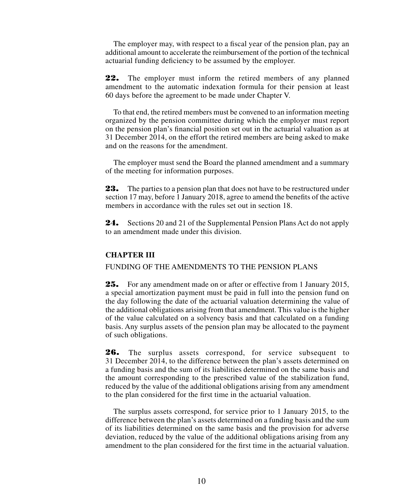The employer may, with respect to a fiscal year of the pension plan, pay an additional amount to accelerate the reimbursement of the portion of the technical actuarial funding deficiency to be assumed by the employer.

22. The employer must inform the retired members of any planned amendment to the automatic indexation formula for their pension at least 60 days before the agreement to be made under Chapter V.

To that end, the retired members must be convened to an information meeting organized by the pension committee during which the employer must report on the pension plan's financial position set out in the actuarial valuation as at 31 December 2014, on the effort the retired members are being asked to make and on the reasons for the amendment.

The employer must send the Board the planned amendment and a summary of the meeting for information purposes.

23. The parties to a pension plan that does not have to be restructured under section 17 may, before 1 January 2018, agree to amend the benefits of the active members in accordance with the rules set out in section 18.

24. Sections 20 and 21 of the Supplemental Pension Plans Act do not apply to an amendment made under this division.

# **CHAPTER III**

FUNDING OF THE AMENDMENTS TO THE PENSION PLANS

25. For any amendment made on or after or effective from 1 January 2015, a special amortization payment must be paid in full into the pension fund on the day following the date of the actuarial valuation determining the value of the additional obligations arising from that amendment. This value is the higher of the value calculated on a solvency basis and that calculated on a funding basis. Any surplus assets of the pension plan may be allocated to the payment of such obligations.

26. The surplus assets correspond, for service subsequent to 31 December 2014, to the difference between the plan's assets determined on a funding basis and the sum of its liabilities determined on the same basis and the amount corresponding to the prescribed value of the stabilization fund, reduced by the value of the additional obligations arising from any amendment to the plan considered for the first time in the actuarial valuation.

The surplus assets correspond, for service prior to 1 January 2015, to the difference between the plan's assets determined on a funding basis and the sum of its liabilities determined on the same basis and the provision for adverse deviation, reduced by the value of the additional obligations arising from any amendment to the plan considered for the first time in the actuarial valuation.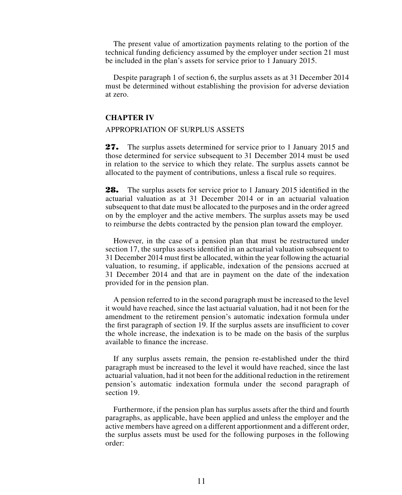The present value of amortization payments relating to the portion of the technical funding deficiency assumed by the employer under section 21 must be included in the plan's assets for service prior to 1 January 2015.

Despite paragraph 1 of section 6, the surplus assets as at 31 December 2014 must be determined without establishing the provision for adverse deviation at zero.

# **CHAPTER IV**

#### APPROPRIATION OF SURPLUS ASSETS

27. The surplus assets determined for service prior to 1 January 2015 and those determined for service subsequent to 31 December 2014 must be used in relation to the service to which they relate. The surplus assets cannot be allocated to the payment of contributions, unless a fiscal rule so requires.

28. The surplus assets for service prior to 1 January 2015 identified in the actuarial valuation as at 31 December 2014 or in an actuarial valuation subsequent to that date must be allocated to the purposes and in the order agreed on by the employer and the active members. The surplus assets may be used to reimburse the debts contracted by the pension plan toward the employer.

However, in the case of a pension plan that must be restructured under section 17, the surplus assets identified in an actuarial valuation subsequent to 31 December 2014 must first be allocated, within the year following the actuarial valuation, to resuming, if applicable, indexation of the pensions accrued at 31 December 2014 and that are in payment on the date of the indexation provided for in the pension plan.

A pension referred to in the second paragraph must be increased to the level it would have reached, since the last actuarial valuation, had it not been for the amendment to the retirement pension's automatic indexation formula under the first paragraph of section 19. If the surplus assets are insufficient to cover the whole increase, the indexation is to be made on the basis of the surplus available to finance the increase.

If any surplus assets remain, the pension re-established under the third paragraph must be increased to the level it would have reached, since the last actuarial valuation, had it not been for the additional reduction in the retirement pension's automatic indexation formula under the second paragraph of section 19.

Furthermore, if the pension plan has surplus assets after the third and fourth paragraphs, as applicable, have been applied and unless the employer and the active members have agreed on a different apportionment and a different order, the surplus assets must be used for the following purposes in the following order: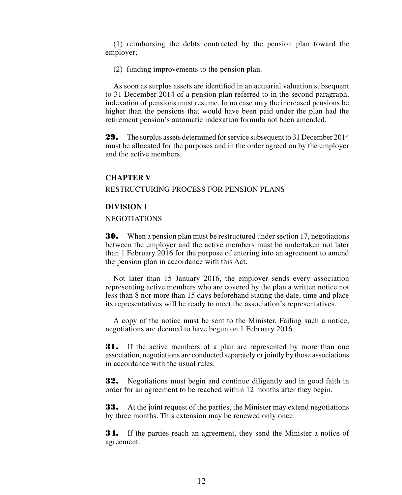(1) reimbursing the debts contracted by the pension plan toward the employer;

(2) funding improvements to the pension plan.

As soon as surplus assets are identified in an actuarial valuation subsequent to 31 December 2014 of a pension plan referred to in the second paragraph, indexation of pensions must resume. In no case may the increased pensions be higher than the pensions that would have been paid under the plan had the retirement pension's automatic indexation formula not been amended.

29. The surplus assets determined for service subsequent to 31 December 2014 must be allocated for the purposes and in the order agreed on by the employer and the active members.

#### **CHAPTER V**

RESTRUCTURING PROCESS FOR PENSION PLANS

### **DIVISION I**

NEGOTIATIONS

30. When a pension plan must be restructured under section 17, negotiations between the employer and the active members must be undertaken not later than 1 February 2016 for the purpose of entering into an agreement to amend the pension plan in accordance with this Act.

Not later than 15 January 2016, the employer sends every association representing active members who are covered by the plan a written notice not less than 8 nor more than 15 days beforehand stating the date, time and place its representatives will be ready to meet the association's representatives.

A copy of the notice must be sent to the Minister. Failing such a notice, negotiations are deemed to have begun on 1 February 2016.

**31.** If the active members of a plan are represented by more than one association, negotiations are conducted separately or jointly by those associations in accordance with the usual rules.

**32.** Negotiations must begin and continue diligently and in good faith in order for an agreement to be reached within 12 months after they begin.

**33.** At the joint request of the parties, the Minister may extend negotiations by three months. This extension may be renewed only once.

**34.** If the parties reach an agreement, they send the Minister a notice of agreement.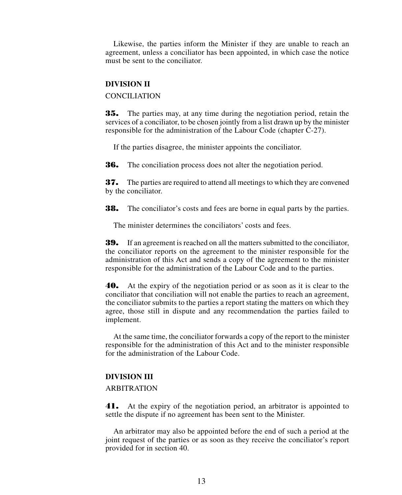Likewise, the parties inform the Minister if they are unable to reach an agreement, unless a conciliator has been appointed, in which case the notice must be sent to the conciliator.

### **DIVISION II**

CONCILIATION

35. The parties may, at any time during the negotiation period, retain the services of a conciliator, to be chosen jointly from a list drawn up by the minister responsible for the administration of the Labour Code (chapter C-27).

If the parties disagree, the minister appoints the conciliator.

**36.** The conciliation process does not alter the negotiation period.

37. The parties are required to attend all meetings to which they are convened by the conciliator.

**38.** The conciliator's costs and fees are borne in equal parts by the parties.

The minister determines the conciliators' costs and fees.

39. If an agreement is reached on all the matters submitted to the conciliator, the conciliator reports on the agreement to the minister responsible for the administration of this Act and sends a copy of the agreement to the minister responsible for the administration of the Labour Code and to the parties.

40. At the expiry of the negotiation period or as soon as it is clear to the conciliator that conciliation will not enable the parties to reach an agreement, the conciliator submits to the parties a report stating the matters on which they agree, those still in dispute and any recommendation the parties failed to implement.

At the same time, the conciliator forwards a copy of the report to the minister responsible for the administration of this Act and to the minister responsible for the administration of the Labour Code.

### **DIVISION III**

### ARBITRATION

41. At the expiry of the negotiation period, an arbitrator is appointed to settle the dispute if no agreement has been sent to the Minister.

An arbitrator may also be appointed before the end of such a period at the joint request of the parties or as soon as they receive the conciliator's report provided for in section 40.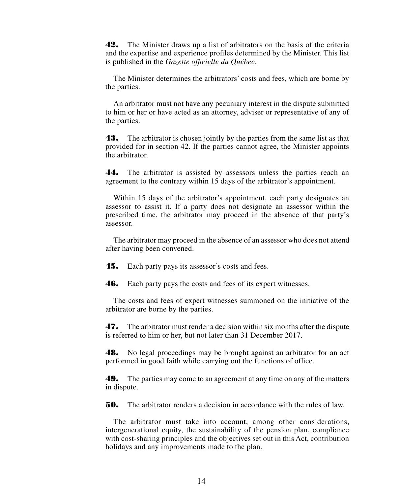42. The Minister draws up a list of arbitrators on the basis of the criteria and the expertise and experience profiles determined by the Minister. This list is published in the *Gazette officielle du Québec*.

The Minister determines the arbitrators' costs and fees, which are borne by the parties.

An arbitrator must not have any pecuniary interest in the dispute submitted to him or her or have acted as an attorney, adviser or representative of any of the parties.

43. The arbitrator is chosen jointly by the parties from the same list as that provided for in section 42. If the parties cannot agree, the Minister appoints the arbitrator.

44. The arbitrator is assisted by assessors unless the parties reach an agreement to the contrary within 15 days of the arbitrator's appointment.

Within 15 days of the arbitrator's appointment, each party designates an assessor to assist it. If a party does not designate an assessor within the prescribed time, the arbitrator may proceed in the absence of that party's assessor.

The arbitrator may proceed in the absence of an assessor who does not attend after having been convened.

**45.** Each party pays its assessor's costs and fees.

**46.** Each party pays the costs and fees of its expert witnesses.

The costs and fees of expert witnesses summoned on the initiative of the arbitrator are borne by the parties.

47. The arbitrator must render a decision within six months after the dispute is referred to him or her, but not later than 31 December 2017.

48. No legal proceedings may be brought against an arbitrator for an act performed in good faith while carrying out the functions of office.

49. The parties may come to an agreement at any time on any of the matters in dispute.

50. The arbitrator renders a decision in accordance with the rules of law.

The arbitrator must take into account, among other considerations, intergenerational equity, the sustainability of the pension plan, compliance with cost-sharing principles and the objectives set out in this Act, contribution holidays and any improvements made to the plan.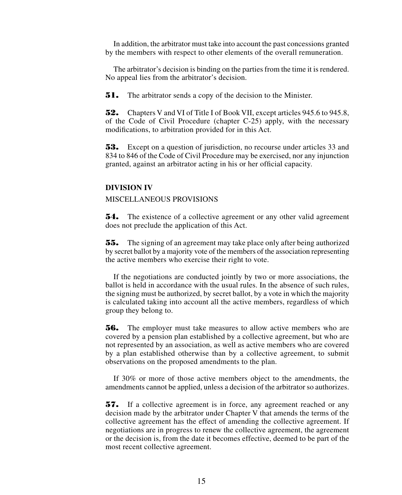In addition, the arbitrator must take into account the past concessions granted by the members with respect to other elements of the overall remuneration.

The arbitrator's decision is binding on the parties from the time it is rendered. No appeal lies from the arbitrator's decision.

**51.** The arbitrator sends a copy of the decision to the Minister.

52. Chapters V and VI of Title I of Book VII, except articles 945.6 to 945.8, of the Code of Civil Procedure (chapter C-25) apply, with the necessary modifications, to arbitration provided for in this Act.

53. Except on a question of jurisdiction, no recourse under articles 33 and 834 to 846 of the Code of Civil Procedure may be exercised, nor any injunction granted, against an arbitrator acting in his or her official capacity.

#### **DIVISION IV**

### MISCELLANEOUS PROVISIONS

**54.** The existence of a collective agreement or any other valid agreement does not preclude the application of this Act.

55. The signing of an agreement may take place only after being authorized by secret ballot by a majority vote of the members of the association representing the active members who exercise their right to vote.

If the negotiations are conducted jointly by two or more associations, the ballot is held in accordance with the usual rules. In the absence of such rules, the signing must be authorized, by secret ballot, by a vote in which the majority is calculated taking into account all the active members, regardless of which group they belong to.

**56.** The employer must take measures to allow active members who are covered by a pension plan established by a collective agreement, but who are not represented by an association, as well as active members who are covered by a plan established otherwise than by a collective agreement, to submit observations on the proposed amendments to the plan.

If 30% or more of those active members object to the amendments, the amendments cannot be applied, unless a decision of the arbitrator so authorizes.

57. If a collective agreement is in force, any agreement reached or any decision made by the arbitrator under Chapter V that amends the terms of the collective agreement has the effect of amending the collective agreement. If negotiations are in progress to renew the collective agreement, the agreement or the decision is, from the date it becomes effective, deemed to be part of the most recent collective agreement.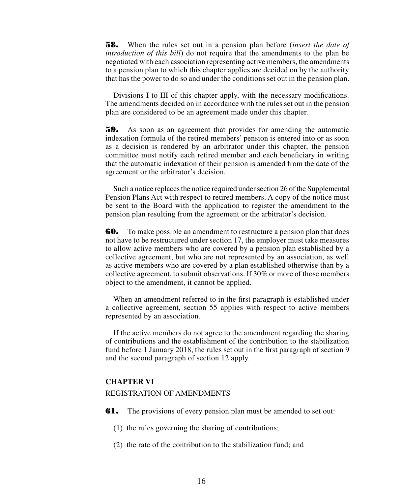58. When the rules set out in a pension plan before (*insert the date of introduction of this bill*) do not require that the amendments to the plan be negotiated with each association representing active members, the amendments to a pension plan to which this chapter applies are decided on by the authority that has the power to do so and under the conditions set out in the pension plan.

Divisions I to III of this chapter apply, with the necessary modifications. The amendments decided on in accordance with the rules set out in the pension plan are considered to be an agreement made under this chapter.

59. As soon as an agreement that provides for amending the automatic indexation formula of the retired members' pension is entered into or as soon as a decision is rendered by an arbitrator under this chapter, the pension committee must notify each retired member and each beneficiary in writing that the automatic indexation of their pension is amended from the date of the agreement or the arbitrator's decision.

Such a notice replaces the notice required under section 26 of the Supplemental Pension Plans Act with respect to retired members. A copy of the notice must be sent to the Board with the application to register the amendment to the pension plan resulting from the agreement or the arbitrator's decision.

**60.** To make possible an amendment to restructure a pension plan that does not have to be restructured under section 17, the employer must take measures to allow active members who are covered by a pension plan established by a collective agreement, but who are not represented by an association, as well as active members who are covered by a plan established otherwise than by a collective agreement, to submit observations. If 30% or more of those members object to the amendment, it cannot be applied.

When an amendment referred to in the first paragraph is established under a collective agreement, section 55 applies with respect to active members represented by an association.

If the active members do not agree to the amendment regarding the sharing of contributions and the establishment of the contribution to the stabilization fund before 1 January 2018, the rules set out in the first paragraph of section 9 and the second paragraph of section 12 apply.

# **CHAPTER VI**

### REGISTRATION OF AMENDMENTS

**61.** The provisions of every pension plan must be amended to set out:

- (1) the rules governing the sharing of contributions;
- (2) the rate of the contribution to the stabilization fund; and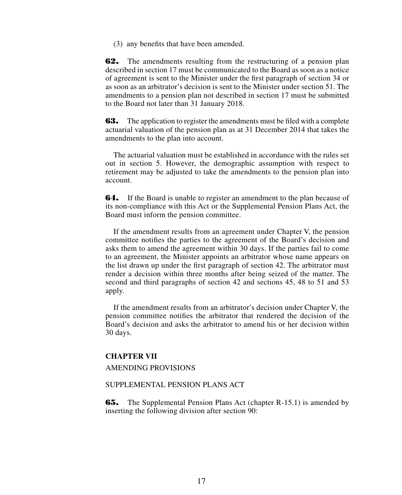(3) any benefits that have been amended.

**62.** The amendments resulting from the restructuring of a pension plan described in section 17 must be communicated to the Board as soon as a notice of agreement is sent to the Minister under the first paragraph of section 34 or as soon as an arbitrator's decision is sent to the Minister under section 51. The amendments to a pension plan not described in section 17 must be submitted to the Board not later than 31 January 2018.

**63.** The application to register the amendments must be filed with a complete actuarial valuation of the pension plan as at 31 December 2014 that takes the amendments to the plan into account.

The actuarial valuation must be established in accordance with the rules set out in section 5. However, the demographic assumption with respect to retirement may be adjusted to take the amendments to the pension plan into account.

**64.** If the Board is unable to register an amendment to the plan because of its non-compliance with this Act or the Supplemental Pension Plans Act, the Board must inform the pension committee.

If the amendment results from an agreement under Chapter V, the pension committee notifies the parties to the agreement of the Board's decision and asks them to amend the agreement within 30 days. If the parties fail to come to an agreement, the Minister appoints an arbitrator whose name appears on the list drawn up under the first paragraph of section 42. The arbitrator must render a decision within three months after being seized of the matter. The second and third paragraphs of section 42 and sections 45, 48 to 51 and 53 apply.

If the amendment results from an arbitrator's decision under Chapter V, the pension committee notifies the arbitrator that rendered the decision of the Board's decision and asks the arbitrator to amend his or her decision within 30 days.

# **CHAPTER VII**

### AMENDING PROVISIONS

# SUPPLEMENTAL PENSION PLANS ACT

**65.** The Supplemental Pension Plans Act (chapter R-15.1) is amended by inserting the following division after section 90: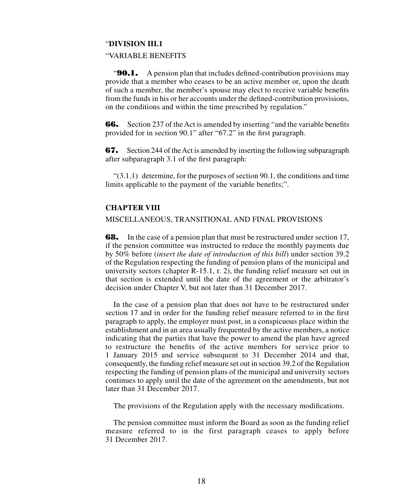#### "**DIVISION III.1**

### "VARIABLE BENEFITS

**"90.1.** A pension plan that includes defined-contribution provisions may provide that a member who ceases to be an active member or, upon the death of such a member, the member's spouse may elect to receive variable benefits from the funds in his or her accounts under the defined-contribution provisions, on the conditions and within the time prescribed by regulation."

**66.** Section 237 of the Act is amended by inserting "and the variable benefits" provided for in section 90.1" after "67.2" in the first paragraph.

67. Section 244 of the Act is amended by inserting the following subparagraph after subparagraph 3.1 of the first paragraph:

 $(3.1.1)$  determine, for the purposes of section 90.1, the conditions and time limits applicable to the payment of the variable benefits;".

# **CHAPTER VIII**

### MISCELLANEOUS, TRANSITIONAL AND FINAL PROVISIONS

**68.** In the case of a pension plan that must be restructured under section 17, if the pension committee was instructed to reduce the monthly payments due by 50% before (*insert the date of introduction of this bill*) under section 39.2 of the Regulation respecting the funding of pension plans of the municipal and university sectors (chapter R-15.1, r. 2), the funding relief measure set out in that section is extended until the date of the agreement or the arbitrator's decision under Chapter V, but not later than 31 December 2017.

In the case of a pension plan that does not have to be restructured under section 17 and in order for the funding relief measure referred to in the first paragraph to apply, the employer must post, in a conspicuous place within the establishment and in an area usually frequented by the active members, a notice indicating that the parties that have the power to amend the plan have agreed to restructure the benefits of the active members for service prior to 1 January 2015 and service subsequent to 31 December 2014 and that, consequently, the funding relief measure set out in section 39.2 of the Regulation respecting the funding of pension plans of the municipal and university sectors continues to apply until the date of the agreement on the amendments, but not later than 31 December 2017.

The provisions of the Regulation apply with the necessary modifications.

The pension committee must inform the Board as soon as the funding relief measure referred to in the first paragraph ceases to apply before 31 December 2017.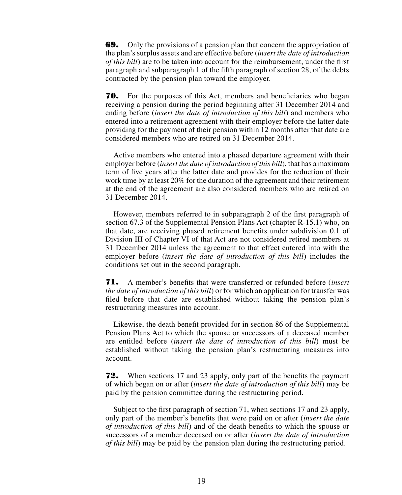69. Only the provisions of a pension plan that concern the appropriation of the plan's surplus assets and are effective before (*insert the date of introduction of this bill*) are to be taken into account for the reimbursement, under the first paragraph and subparagraph 1 of the fifth paragraph of section 28, of the debts contracted by the pension plan toward the employer.

70. For the purposes of this Act, members and beneficiaries who began receiving a pension during the period beginning after 31 December 2014 and ending before (*insert the date of introduction of this bill*) and members who entered into a retirement agreement with their employer before the latter date providing for the payment of their pension within 12 months after that date are considered members who are retired on 31 December 2014.

Active members who entered into a phased departure agreement with their employer before (*insert the date of introduction of this bill*), that has a maximum term of five years after the latter date and provides for the reduction of their work time by at least 20% for the duration of the agreement and their retirement at the end of the agreement are also considered members who are retired on 31 December 2014.

However, members referred to in subparagraph 2 of the first paragraph of section 67.3 of the Supplemental Pension Plans Act (chapter R-15.1) who, on that date, are receiving phased retirement benefits under subdivision 0.1 of Division III of Chapter VI of that Act are not considered retired members at 31 December 2014 unless the agreement to that effect entered into with the employer before (*insert the date of introduction of this bill*) includes the conditions set out in the second paragraph.

71. A member's benefits that were transferred or refunded before (*insert the date of introduction of this bill*) or for which an application for transfer was filed before that date are established without taking the pension plan's restructuring measures into account.

Likewise, the death benefit provided for in section 86 of the Supplemental Pension Plans Act to which the spouse or successors of a deceased member are entitled before (*insert the date of introduction of this bill*) must be established without taking the pension plan's restructuring measures into account.

72. When sections 17 and 23 apply, only part of the benefits the payment of which began on or after (*insert the date of introduction of this bill*) may be paid by the pension committee during the restructuring period.

Subject to the first paragraph of section 71, when sections 17 and 23 apply, only part of the member's benefits that were paid on or after (*insert the date of introduction of this bill*) and of the death benefits to which the spouse or successors of a member deceased on or after (*insert the date of introduction of this bill*) may be paid by the pension plan during the restructuring period.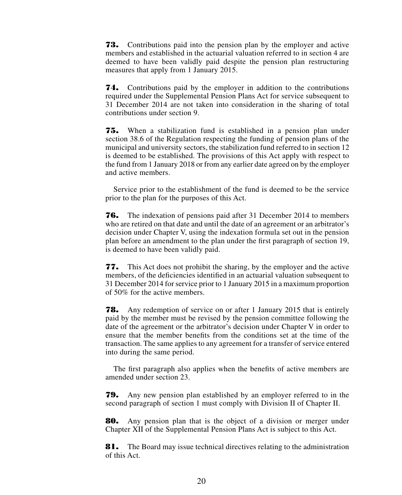73. Contributions paid into the pension plan by the employer and active members and established in the actuarial valuation referred to in section 4 are deemed to have been validly paid despite the pension plan restructuring measures that apply from 1 January 2015.

74. Contributions paid by the employer in addition to the contributions required under the Supplemental Pension Plans Act for service subsequent to 31 December 2014 are not taken into consideration in the sharing of total contributions under section 9.

75. When a stabilization fund is established in a pension plan under section 38.6 of the Regulation respecting the funding of pension plans of the municipal and university sectors, the stabilization fund referred to in section 12 is deemed to be established. The provisions of this Act apply with respect to the fund from 1 January 2018 or from any earlier date agreed on by the employer and active members.

Service prior to the establishment of the fund is deemed to be the service prior to the plan for the purposes of this Act.

76. The indexation of pensions paid after 31 December 2014 to members who are retired on that date and until the date of an agreement or an arbitrator's decision under Chapter V, using the indexation formula set out in the pension plan before an amendment to the plan under the first paragraph of section 19, is deemed to have been validly paid.

77. This Act does not prohibit the sharing, by the employer and the active members, of the deficiencies identified in an actuarial valuation subsequent to 31 December 2014 for service prior to 1 January 2015 in a maximum proportion of 50% for the active members.

78. Any redemption of service on or after 1 January 2015 that is entirely paid by the member must be revised by the pension committee following the date of the agreement or the arbitrator's decision under Chapter V in order to ensure that the member benefits from the conditions set at the time of the transaction. The same applies to any agreement for a transfer of service entered into during the same period.

The first paragraph also applies when the benefits of active members are amended under section 23.

79. Any new pension plan established by an employer referred to in the second paragraph of section 1 must comply with Division II of Chapter II.

80. Any pension plan that is the object of a division or merger under Chapter XII of the Supplemental Pension Plans Act is subject to this Act.

81. The Board may issue technical directives relating to the administration of this Act.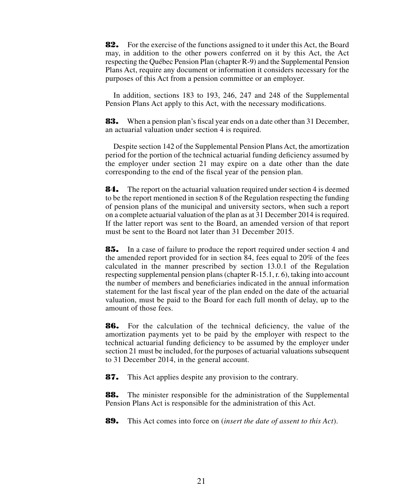82. For the exercise of the functions assigned to it under this Act, the Board may, in addition to the other powers conferred on it by this Act, the Act respecting the Québec Pension Plan (chapter R-9) and the Supplemental Pension Plans Act, require any document or information it considers necessary for the purposes of this Act from a pension committee or an employer.

In addition, sections 183 to 193, 246, 247 and 248 of the Supplemental Pension Plans Act apply to this Act, with the necessary modifications.

83. When a pension plan's fiscal year ends on a date other than 31 December, an actuarial valuation under section 4 is required.

Despite section 142 of the Supplemental Pension Plans Act, the amortization period for the portion of the technical actuarial funding deficiency assumed by the employer under section 21 may expire on a date other than the date corresponding to the end of the fiscal year of the pension plan.

**84.** The report on the actuarial valuation required under section 4 is deemed to be the report mentioned in section 8 of the Regulation respecting the funding of pension plans of the municipal and university sectors, when such a report on a complete actuarial valuation of the plan as at 31 December 2014 is required. If the latter report was sent to the Board, an amended version of that report must be sent to the Board not later than 31 December 2015.

85. In a case of failure to produce the report required under section 4 and the amended report provided for in section 84, fees equal to 20% of the fees calculated in the manner prescribed by section 13.0.1 of the Regulation respecting supplemental pension plans (chapter R-15.1, r. 6), taking into account the number of members and beneficiaries indicated in the annual information statement for the last fiscal year of the plan ended on the date of the actuarial valuation, must be paid to the Board for each full month of delay, up to the amount of those fees.

86. For the calculation of the technical deficiency, the value of the amortization payments yet to be paid by the employer with respect to the technical actuarial funding deficiency to be assumed by the employer under section 21 must be included, for the purposes of actuarial valuations subsequent to 31 December 2014, in the general account.

87. This Act applies despite any provision to the contrary.

**88.** The minister responsible for the administration of the Supplemental Pension Plans Act is responsible for the administration of this Act.

89. This Act comes into force on (*insert the date of assent to this Act*).